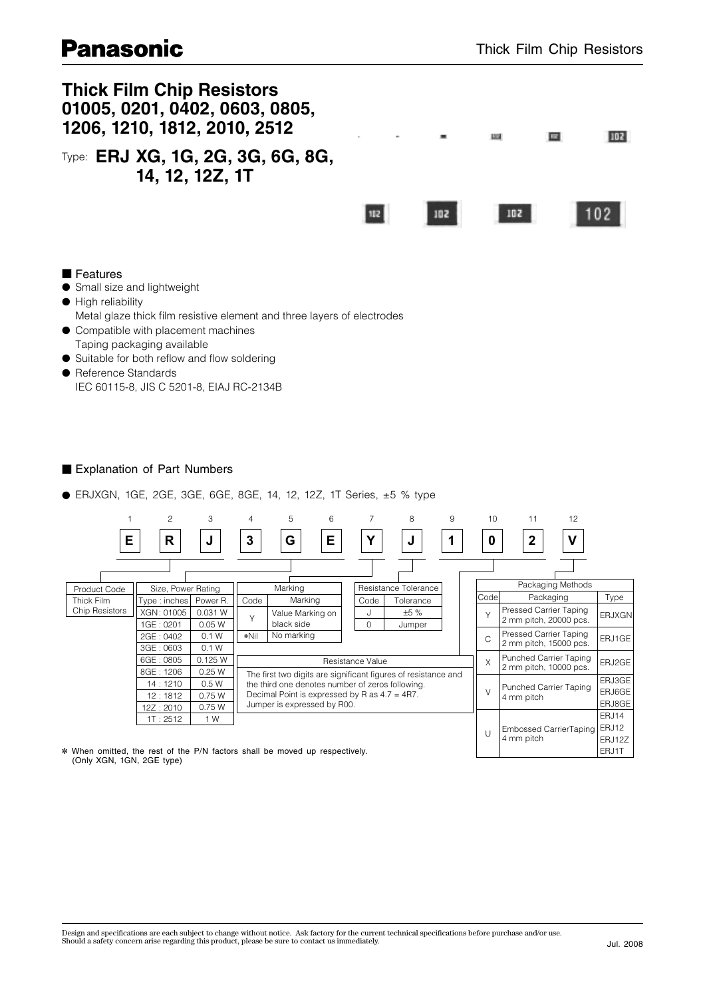# **Panasonic**



### ■ Explanation of Part Numbers

● ERJXGN, 1GE, 2GE, 3GE, 6GE, 8GE, 14, 12, 12Z, 1T Series, ±5 % type



✽ When omitted, the rest of the P/N factors shall be moved up respectively. (Only XGN, 1GN, 2GE type)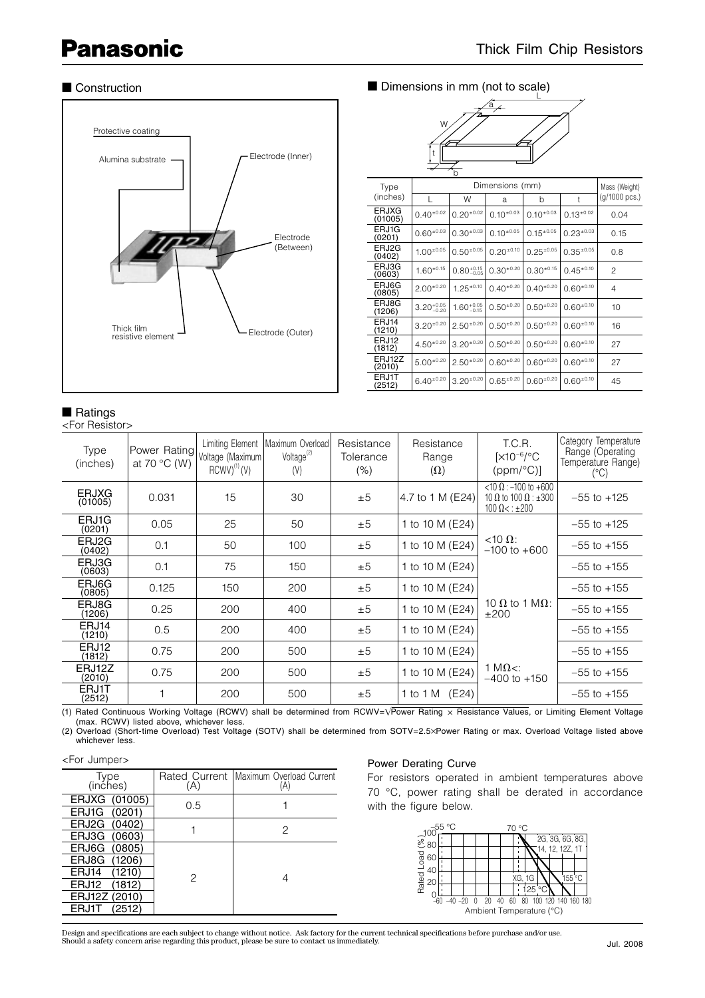# **Panasonic**



■ Construction ■ Dimensions in mm (not to scale)



|                         |                        | b                      |                |                  |                  |               |
|-------------------------|------------------------|------------------------|----------------|------------------|------------------|---------------|
| Type                    |                        | Mass (Weight)          |                |                  |                  |               |
| (inches)                |                        | W                      | a              | b                | t                | (g/1000 pcs.) |
| <b>ERJXG</b><br>(01005) | $0.40^{+0.02}$         | $0.20^{+0.02}$         | $0.10^{+0.03}$ | $0.10^{+0.03}$   | $0.13^{+0.02}$   | 0.04          |
| ERJ1G<br>(0201)         | $0.60^{+0.03}$         | $0.30^{+0.03}$         | $0.10^{+0.05}$ | $0.15^{+0.05}$   | $0.23^{+0.03}$   | 0.15          |
| ERJ2G<br>(0402)         | $1.00^{+0.05}$         | $0.50^{+0.05}$         | $0.20^{+0.10}$ | $0.25^{\pm0.05}$ | $0.35^{+0.05}$   | 0.8           |
| ERJ3G<br>(0603)         | $1.60^{+0.15}$         | $0.80^{+0.15}_{-0.05}$ | $0.30^{+0.20}$ | $0.30^{+0.15}$   | $0.45^{\pm0.10}$ | $\mathcal{P}$ |
| ERJ6G<br>(0805)         | $2.00^{+0.20}$         | $1.25^{\pm0.10}$       | $0.40^{+0.20}$ | $0.40^{+0.20}$   | $0.60^{+0.10}$   | 4             |
| ERJ8G<br>(1206)         | $3.20^{+0.05}_{-0.20}$ | $1.60^{+0.05}_{-0.15}$ | $0.50^{+0.20}$ | $0.50^{+0.20}$   | $0.60^{+0.10}$   | 10            |
| ERJ14<br>(1210)         | $3.20^{+0.20}$         | $2.50^{+0.20}$         | $0.50^{+0.20}$ | $0.50^{+0.20}$   | $0.60^{+0.10}$   | 16            |
| ERJ12<br>(1812)         | $4.50^{+0.20}$         | $3.20^{+0.20}$         | $0.50^{+0.20}$ | $0.50^{+0.20}$   | $0.60^{+0.10}$   | 27            |
| ERJ12Z<br>(2010)        | $5.00*0.20$            | $2.50^{+0.20}$         | $0.60^{+0.20}$ | $0.60^{+0.20}$   | $0.60^{+0.10}$   | 27            |
| ERJ1T<br>2512)          | $6.40^{+0.20}$         | $3.20^{+0.20}$         | $0.65^{+0.20}$ | $0.60^{+0.20}$   | $0.60^{+0.10}$   | 45            |

## ■ Ratings

<For Resistor>

| Type<br>(inches)        | Power Rating<br>at 70 $\degree$ C (W) | Limiting Element<br>Voltage (Maximum)<br>$RCWV)^{(1)}$ (V) | Maximum Overload<br>Voltage <sup>(2)</sup><br>(V) | Resistance<br>Tolerance<br>(% ) | Resistance<br>Range<br>$(\Omega)$ | T.C.R.<br>$[X10^{-6}/^{\circ}C$<br>$(ppm/°C)$ ]                                        | Category Temperature<br>Range (Operating<br>Temperature Range)<br>(°C) |
|-------------------------|---------------------------------------|------------------------------------------------------------|---------------------------------------------------|---------------------------------|-----------------------------------|----------------------------------------------------------------------------------------|------------------------------------------------------------------------|
| <b>ERJXG</b><br>(01005) | 0.031                                 | 15                                                         | 30                                                | ±5                              | 4.7 to 1 M (E24)                  | <10 Ω : -100 to +600<br>10 $\Omega$ to 100 $\Omega$ : $\pm 300$<br>$100 \Omega < 1200$ | $-55$ to $+125$                                                        |
| ERJ1G<br>(0201)         | 0.05                                  | 25                                                         | 50                                                | ±5                              | 1 to 10 M (E24)                   |                                                                                        | $-55$ to $+125$                                                        |
| ERJ2G<br>(0402)         | 0.1                                   | 50                                                         | 100                                               | ±5                              | 1 to 10 M (E24)                   | $<10 \Omega$ :<br>$-100$ to $+600$                                                     | $-55$ to $+155$                                                        |
| ERJ3G<br>(0603)         | 0.1                                   | 75                                                         | 150                                               | ±5                              | 1 to 10 M (E24)                   |                                                                                        | $-55$ to $+155$                                                        |
| ERJ6G<br>(0805)         | 0.125                                 | 150                                                        | 200                                               | ±5                              | 1 to 10 M (E24)                   |                                                                                        | $-55$ to $+155$                                                        |
| ERJ8G<br>(1206)         | 0.25                                  | 200                                                        | 400                                               | ±5                              | 1 to 10 M (E24)                   | 10 $\Omega$ to 1 M $\Omega$ :<br>±200                                                  | $-55$ to $+155$                                                        |
| ERJ14<br>(1210)         | 0.5                                   | 200                                                        | 400                                               | ±5                              | 1 to 10 M (E24)                   |                                                                                        | $-55$ to $+155$                                                        |
| ERJ12<br>(1812)         | 0.75                                  | 200                                                        | 500                                               | ±5                              | 1 to 10 M (E24)                   |                                                                                        | $-55$ to $+155$                                                        |
| ERJ12Z<br>(2010)        | 0.75                                  | 200                                                        | 500                                               | ±5                              | 1 to 10 M (E24)                   | 1 M $\Omega$ <:<br>$-400$ to $+150$                                                    | $-55$ to $+155$                                                        |
| ERJ1T<br>(2512)         |                                       | 200                                                        | 500                                               | ±5                              | 1 to 1 M (E24)                    |                                                                                        | $-55$ to $+155$                                                        |

(1) Rated Continuous Working Voltage (RCWV) shall be determined from RCWV=VPower Rating x Resistance Values, or Limiting Element Voltage (max. RCWV) listed above, whichever less.

(2) Overload (Short-time Overload) Test Voltage (SOTV) shall be determined from SOTV=2.5xPower Rating or max. Overload Voltage listed above whichever less.

#### <For Jumper>

| Type<br>(inches) | (A) | Rated Current Maximum Overload Current<br>(A) |  |
|------------------|-----|-----------------------------------------------|--|
| ERJXG (01005)    | 0.5 |                                               |  |
| ERJ1G (0201)     |     |                                               |  |
| ERJ2G (0402)     |     | 2                                             |  |
| ERJ3G (0603)     |     |                                               |  |
| ERJ6G (0805)     |     |                                               |  |
| ERJ8G (1206)     |     |                                               |  |
| ERJ14<br>(1210)  | 2   |                                               |  |
| ERJ12<br>(1812)  |     |                                               |  |
| ERJ12Z (2010)    |     |                                               |  |
| ERJ1T<br>(2512)  |     |                                               |  |

#### Power Derating Curve

For resistors operated in ambient temperatures above 70 °C, power rating shall be derated in accordance with the figure below.



Design and specifications are each subject to change without notice. Ask factory for the current technical specifications before purchase and/or use.<br>Should a safety concern arise regarding this product, please be sure to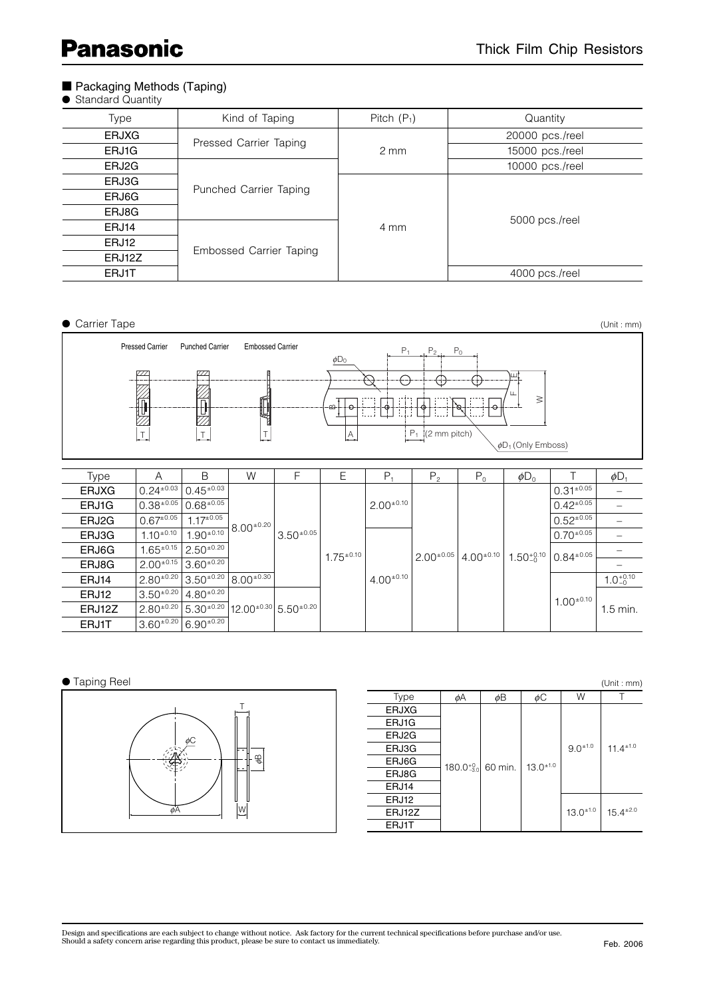# **Panasonic**

### ■ Packaging Methods (Taping)

|  | <b>Standard Quantity</b> |  |
|--|--------------------------|--|
|--|--------------------------|--|

| Type         | Kind of Taping          | Pitch $(P_1)$    | Quantity        |  |
|--------------|-------------------------|------------------|-----------------|--|
| <b>ERJXG</b> |                         |                  | 20000 pcs./reel |  |
| ERJ1G        | Pressed Carrier Taping  | $2 \, \text{mm}$ | 15000 pcs./reel |  |
| ERJ2G        |                         |                  | 10000 pcs./reel |  |
| ERJ3G        |                         |                  |                 |  |
| ERJ6G        | Punched Carrier Taping  |                  |                 |  |
| ERJ8G        |                         |                  |                 |  |
| ERJ14        |                         | 4 mm             | 5000 pcs./reel  |  |
| ERJ12        |                         |                  |                 |  |
| ERJ12Z       | Embossed Carrier Taping |                  |                 |  |
| <b>ERJ1T</b> |                         |                  | 4000 pcs./reel  |  |

● Carrier Tape (Unit : mm) Pressed Carrier Punched Carrier Embossed Carrier  $P_1$   $P_2$ ,  $P_0$  $\phi$ D<sub>0</sub>  $\overline{\mathbb{Z}}$ E⊖ Æ F LL.  $\geq$ Í ℍ 4 ŀo ക 77,  $P_1$  (2 mm pitch) T  $\begin{bmatrix} T \end{bmatrix}$  T  $\begin{bmatrix} \end{bmatrix}$   $\begin{bmatrix} \end{bmatrix}$  $\phi$ D<sub>1</sub> (Only Emboss) Type | A | B | W | F | E |  $\mathsf{P_1}$  |  $\mathsf{P_2}$  |  $\mathsf{P_0}$  |  $\phi\mathsf{D_0}$  | T |  $\phi\mathsf{D_1}$ ERJXG  $0.24^{+0.03}$   $0.45^{+0.03}$ <br>ERJ1G  $0.38^{+0.05}$   $0.68^{+0.05}$  $\frac{0.31^{\pm 0.05}}{0.42^{\pm 0.05}}$  $2.00^{\pm0.10}$  $\textsf{ERJ1G} \quad \big| \, 0.38^{\pm 0.05} \, \big| \, 0.68^{\pm 0.05} \big| \qquad \qquad \big| \qquad \qquad \big| \qquad \qquad \big| \, 2.00^{\pm 0.10} \, \big| \qquad \qquad \big| \qquad \qquad \big| \qquad \qquad \big| \, 0.42^{\pm 0.05} \, \big| \quad \textcolor{red}{-} \ \qquad \qquad \big| \, 0.42^{\pm 0.05} \, \big| \quad \textcolor{red}{-} \ \qquad \qquad \big| \, 0.42^{\$ **ERJ2G**  $\begin{bmatrix} 0.67^{\pm 0.05} \end{bmatrix}$  1.17 $^{\pm 0.05}$  0.52 $^{\pm 0.05}$  0.52 $^{\pm 0.05}$   $\begin{bmatrix} -1 & -1 \end{bmatrix}$  0.52 $^{\pm 0.05}$  0.52 $^{\pm 0.05}$  0.52 $^{\pm 0.05}$  0.52 $^{\pm 0.05}$  1.17 $^{\pm 0.05}$  0.52 $^{\pm 0.05}$  1.17 $^{\pm 0.05}$  1.17  $8.00^{+0.20}$ ERJ3G  $1.10^{\pm0.10}$   $1.90^{\pm0.10}$  $3.50^{+0.05}$  $0.70^{\pm 0.05}$  – ERJ6G  $1.65^{\pm 0.15}$   $2.50^{\pm 0.20}$ <br>ERJ8G  $2.00^{\pm 0.15}$   $3.60^{\pm 0.20}$  $0.84^{+0.05}$  –  $1.75^{\pm0.10}$  $2.00^{\pm0.05}$  4.00 $^{\pm0.10}$  $1.50^{+0.10}_{-0}$ ERJ8G 2.00±0.15 3.60±0.20 –  $4.00^{\pm0.10}$ ERJ14 2.80 $^{\pm 0.20}$  3.50 $^{\pm 0.20}$  8.00 $^{\pm 0.30}$  $1.0^{+0.10}_{-0}$ ERJ12  $3.50^{\pm0.20}$   $4.80^{\pm0.20}$ <br>ERJ12Z  $2.80^{\pm0.20}$   $5.30^{\pm0.20}$  $1.00^{+0.10}$ **ERJ12Z**  $\begin{bmatrix} 2.80^{\pm 0.20} \end{bmatrix}$  5.30<sup>±0.20</sup>  $\begin{bmatrix} 12.00^{\pm 0.30} \end{bmatrix}$  5.50<sup>±0.20</sup>  $\begin{bmatrix} 1 & 1 \end{bmatrix}$   $\begin{bmatrix} 1 & 1 \end{bmatrix}$ ERJ1T  $3.60^{\pm 0.20}$  6.90 $^{\pm 0.20}$ 

#### ● Taping Reel

(Unit : mm)



|              |    |                                |               |               | 10111.111111     |
|--------------|----|--------------------------------|---------------|---------------|------------------|
| <b>Type</b>  | øΑ | øΒ                             | øС            | W             |                  |
| <b>ERJXG</b> |    |                                | $13.0^{+1.0}$ | $9.0^{+1.0}$  | $11.4^{\pm 1.0}$ |
| ERJ1G        |    |                                |               |               |                  |
| ERJ2G        |    |                                |               |               |                  |
| ERJ3G        |    | 180.0 $^{+0.0}_{-3.0}$ 60 min. |               |               |                  |
| ERJ6G        |    |                                |               |               |                  |
| ERJ8G        |    |                                |               |               |                  |
| ERJ14        |    |                                |               |               |                  |
| ERJ12        |    |                                |               |               |                  |
| ERJ12Z       |    |                                |               | $13.0^{+1.0}$ | $15.4^{\pm2.0}$  |
| ERJ1T        |    |                                |               |               |                  |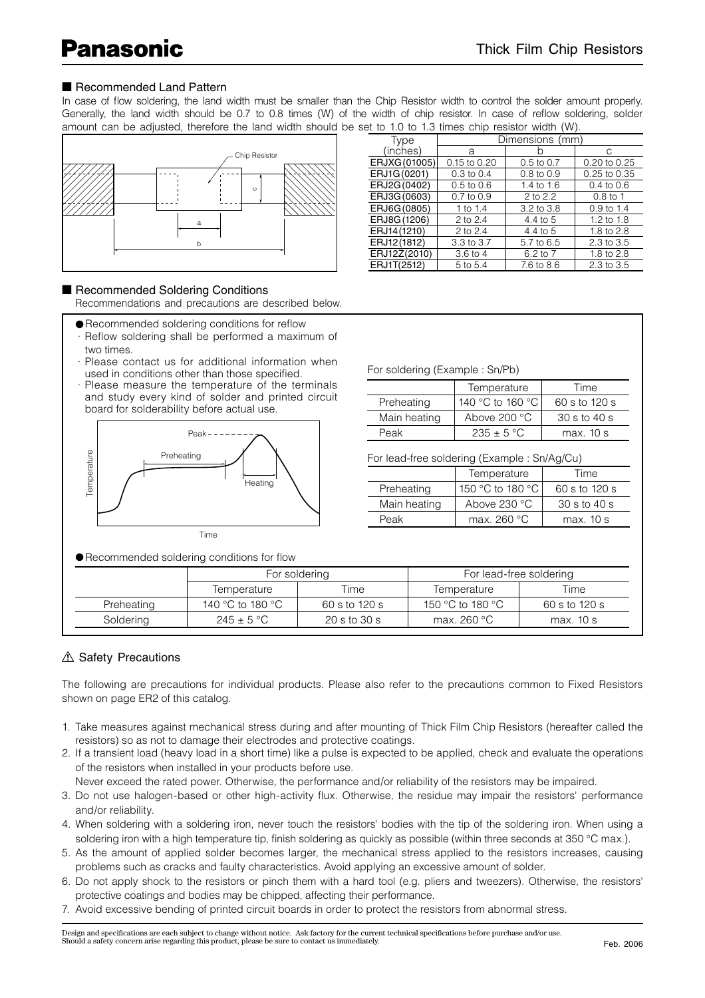### ■ Recommended Land Pattern

In case of flow soldering, the land width must be smaller than the Chip Resistor width to control the solder amount properly. Generally, the land width should be 0.7 to 0.8 times (W) of the width of chip resistor. In case of reflow soldering, solder amount can be adjusted, therefore the land width should be set to 1.0 to 1.3 times chip resistor width (W).



#### ■ Recommended Soldering Conditions

Recommendations and precautions are described below.

- Recommended soldering conditions for reflow
- · Reflow soldering shall be performed a maximum of two times.
- · Please contact us for additional information when used in conditions other than those specified.
- · Please measure the temperature of the terminals and study every kind of solder and printed circuit board for solderability before actual use.



● Recommended soldering conditions for flow

| <b>Type</b>   | Dimensions (mm) |                |                       |  |  |
|---------------|-----------------|----------------|-----------------------|--|--|
| (inches)      | a               |                | C                     |  |  |
| ERJXG (01005) | 0.15 to 0.20    | $0.5$ to $0.7$ | 0.20 to 0.25          |  |  |
| ERJ1G(0201)   | $0.3$ to $0.4$  | $0.8$ to $0.9$ | 0.25 to 0.35          |  |  |
| ERJ2G(0402)   | $0.5$ to $0.6$  | 1.4 to 1.6     | $0.4 \text{ to } 0.6$ |  |  |
| ERJ3G (0603)  | $0.7$ to $0.9$  | 2 to 2.2       | $0.8$ to 1            |  |  |
| ERJ6G(0805)   | 1 to 1.4        | 3.2 to 3.8     | $0.9$ to 1.4          |  |  |
| ERJ8G(1206)   | 2 to 2.4        | 4.4 to 5       | 1.2 to 1.8            |  |  |
| ERJ14 (1210)  | 2 to 2.4        | 4.4 to 5       | 1.8 to 2.8            |  |  |
| ERJ12(1812)   | 3.3 to 3.7      | 5.7 to 6.5     | 2.3 to 3.5            |  |  |
| ERJ12Z(2010)  | 3.6 to 4        | 6.2 to 7       | 1.8 to 2.8            |  |  |
| ERJ1T(2512)   | 5 to 5.4        | 7.6 to 8.6     | 2.3 to 3.5            |  |  |

|              | Temperature           | Time                             |
|--------------|-----------------------|----------------------------------|
| Preheating   | 140 °C to 160 °C      | 60 s to 120 s                    |
| Main heating | Above $200^{\circ}$ C | $30 \text{ s}$ to $40 \text{ s}$ |
| Peak         | $235 + 5$ °C          | max. 10 s                        |

For lead-free soldering (Example : Sn/Ag/Cu)

|              | Temperature      | Time           |
|--------------|------------------|----------------|
| Preheating   | 150 °C to 180 °C | 60 s to 120 s  |
| Main heating | Above $230 °C$   | $30s$ to $40s$ |
| Peak         | max. $260 °C$    | max.10 s       |

|            | For soldering    |                                    | For lead-free soldering |               |
|------------|------------------|------------------------------------|-------------------------|---------------|
|            | Temperature      | Time                               | Temperature             | Time          |
| Preheating | 140 °C to 180 °C | 60 s to 120 s                      | 150 °C to 180 °C        | 60 s to 120 s |
| Soldering  | $245 \pm 5$ °C   | $20 \mathrm{s}$ to $30 \mathrm{s}$ | max. $260 °C$           | max. 10 s     |

### **△ Safety Precautions**

The following are precautions for individual products. Please also refer to the precautions common to Fixed Resistors shown on page ER2 of this catalog.

- 1. Take measures against mechanical stress during and after mounting of Thick Film Chip Resistors (hereafter called the resistors) so as not to damage their electrodes and protective coatings.
- 2. If a transient load (heavy load in a short time) like a pulse is expected to be applied, check and evaluate the operations of the resistors when installed in your products before use.

Never exceed the rated power. Otherwise, the performance and/or reliability of the resistors may be impaired.

- 3. Do not use halogen-based or other high-activity flux. Otherwise, the residue may impair the resistors' performance and/or reliability.
- 4. When soldering with a soldering iron, never touch the resistors' bodies with the tip of the soldering iron. When using a soldering iron with a high temperature tip, finish soldering as quickly as possible (within three seconds at 350 °C max.).
- 5. As the amount of applied solder becomes larger, the mechanical stress applied to the resistors increases, causing problems such as cracks and faulty characteristics. Avoid applying an excessive amount of solder.
- 6. Do not apply shock to the resistors or pinch them with a hard tool (e.g. pliers and tweezers). Otherwise, the resistors' protective coatings and bodies may be chipped, affecting their performance.
- 7. Avoid excessive bending of printed circuit boards in order to protect the resistors from abnormal stress.